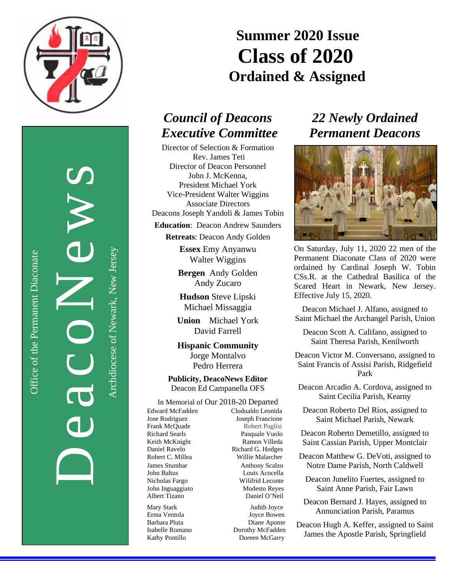

DeacoNews S

Office of the Permanent Diaconate

Office of the Permanent Diaconate

Archdiocese of Newark, New JerseyArchdiocese of Newark, New Jersey

# **Summer 2020 Issue Class of 2020 Ordained & Assigned**

## *Council of Deacons Executive Committee*

Director of Selection & Formation Rev. James Teti Director of Deacon Personnel John J. McKenna, President Michael York Vice-President Walter Wiggins Associate Directors

Deacons Joseph Yandoli & James Tobin

**Education**: Deacon Andrew Saunders

**Retreats**: Deacon Andy Golden

**Essex** Emy Anyanwu Walter Wiggins

**Bergen** Andy Golden Andy Zucaro

**Hudson** Steve Lipski Michael Missaggia

**Union** Michael York David Farrell

**Hispanic Community** Jorge Montalvo Pedro Herrera

**Publicity, DeacoNews Editor** Deacon Ed Campanella OFS

### In Memorial of Our 2018-20 Departed

Edward McFadden Clodualdo Leonida Jose Rodriguez Joseph Francione Frank McQuade Robert Puglisi Richard Searls Pasquale Vuolo Keith McKnight Ramon Villeda Daniel Ravelo Richard G. Hodges Robert C. Millea Willie Malarcher James Stumbar Anthony Scalzo John Baltus Louis Acocella Nicholas Fargo Wilifrid Leconte John Inguaggiato Modesto Reyes<br>Albert Tizano Daniel O'Neil

Daniel O'Neil

Mary Stark Judith Joyce Erma Ventola Joyce Bowen Barbara Pluta Diane Aponte Isabelle Romano Dorothy McFadden Kathy Pontillo Doreen McGarry

### *22 Newly Ordained Permanent Deacons*



On Saturday, July 11, 2020 22 men of the Permanent Diaconate Class of 2020 were ordained by Cardinal Joseph W. Tobin CSs.R. at the Cathedral Basilica of the Scared Heart in Newark, New Jersey. Effective July 15, 2020.

Deacon Michael J. Alfano, assigned to Saint Michael the Archangel Parish, Union

Deacon Scott A. Califano, assigned to Saint Theresa Parish, Kenilworth

Deacon Victor M. Conversano, assigned to Saint Francis of Assisi Parish, Ridgefield Park

- Deacon Arcadio A. Cordova, assigned to Saint Cecilia Parish, Kearny
	- Deacon Roberto Del Rios, assigned to Saint Michael Parish, Newark

Deacon Roberto Demetillo, assigned to Saint Cassian Parish, Upper Montclair

Deacon Matthew G. DeVoti, assigned to Notre Dame Parish, North Caldwell

Deacon Junelito Fuertes, assigned to Saint Anne Parish, Fair Lawn

Deacon Bernard J. Hayes, assigned to Annunciation Parish, Paramus

Deacon Hugh A. Keffer, assigned to Saint James the Apostle Parish, Springfield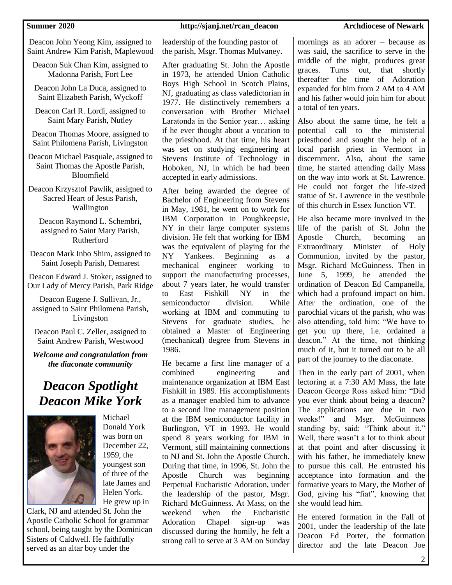Deacon John Yeong Kim, assigned to Saint Andrew Kim Parish, Maplewood

Deacon Suk Chan Kim, assigned to Madonna Parish, Fort Lee

Deacon John La Duca, assigned to Saint Elizabeth Parish, Wyckoff

Deacon Carl R. Lordi, assigned to Saint Mary Parish, Nutley

Deacon Thomas Moore, assigned to Saint Philomena Parish, Livingston

Deacon Michael Pasquale, assigned to Saint Thomas the Apostle Parish, Bloomfield

Deacon Krzysztof Pawlik, assigned to Sacred Heart of Jesus Parish, Wallington

Deacon Raymond L. Schembri, assigned to Saint Mary Parish, Rutherford

Deacon Mark Inbo Shim, assigned to Saint Joseph Parish, Demarest

Deacon Edward J. Stoker, assigned to Our Lady of Mercy Parish, Park Ridge

Deacon Eugene J. Sullivan, Jr., assigned to Saint Philomena Parish, Livingston

Deacon Paul C. Zeller, assigned to Saint Andrew Parish, Westwood

*Welcome and congratulation from the diaconate community*

## *Deacon Spotlight Deacon Mike York*



Michael Donald York was born on December 22, 1959, the youngest son of three of the late James and Helen York. He grew up in

Clark, NJ and attended St. John the Apostle Catholic School for grammar school, being taught by the Dominican Sisters of Caldwell. He faithfully served as an altar boy under the

### **Summer 2020 http://sjanj.net/rcan\_deacon Archdiocese of Newark**

leadership of the founding pastor of the parish, Msgr. Thomas Mulvaney.

After graduating St. John the Apostle in 1973, he attended Union Catholic Boys High School in Scotch Plains, NJ, graduating as class valedictorian in 1977. He distinctively remembers a conversation with Brother Michael Laratonda in the Senior year… asking if he ever thought about a vocation to the priesthood. At that time, his heart was set on studying engineering at Stevens Institute of Technology in Hoboken, NJ, in which he had been accepted in early admissions.

After being awarded the degree of Bachelor of Engineering from Stevens in May, 1981, he went on to work for IBM Corporation in Poughkeepsie, NY in their large computer systems division. He felt that working for IBM was the equivalent of playing for the NY Yankees. Beginning as a mechanical engineer working to support the manufacturing processes, about 7 years later, he would transfer to East Fishkill NY in the semiconductor division. While working at IBM and commuting to Stevens for graduate studies, he obtained a Master of Engineering (mechanical) degree from Stevens in 1986.

He became a first line manager of a combined engineering and maintenance organization at IBM East Fishkill in 1989. His accomplishments as a manager enabled him to advance to a second line management position at the IBM semiconductor facility in Burlington, VT in 1993. He would spend 8 years working for IBM in Vermont, still maintaining connections to NJ and St. John the Apostle Church. During that time, in 1996, St. John the Apostle Church was beginning Perpetual Eucharistic Adoration, under the leadership of the pastor, Msgr. Richard McGuinness. At Mass, on the weekend when the Eucharistic Adoration Chapel sign-up was discussed during the homily, he felt a strong call to serve at 3 AM on Sunday

mornings as an adorer – because as was said, the sacrifice to serve in the middle of the night, produces great graces. Turns out, that shortly thereafter the time of Adoration expanded for him from 2 AM to 4 AM and his father would join him for about a total of ten years.

Also about the same time, he felt a potential call to the ministerial priesthood and sought the help of a local parish priest in Vermont in discernment. Also, about the same time, he started attending daily Mass on the way into work at St. Lawrence. He could not forget the life-sized statue of St. Lawrence in the vestibule of this church in Essex Junction VT.

He also became more involved in the life of the parish of St. John the Apostle Church, becoming an Extraordinary Minister of Holy Communion, invited by the pastor, Msgr. Richard McGuinness. Then in June 5, 1999, he attended the ordination of Deacon Ed Campanella, which had a profound impact on him. After the ordination, one of the parochial vicars of the parish, who was also attending, told him: "We have to get you up there, i.e. ordained a deacon." At the time, not thinking much of it, but it turned out to be all part of the journey to the diaconate.

Then in the early part of 2001, when lectoring at a 7:30 AM Mass, the late Deacon George Ross asked him: "Did you ever think about being a deacon? The applications are due in two weeks!" and Msgr. McGuinness standing by, said: "Think about it." Well, there wasn't a lot to think about at that point and after discussing it with his father, he immediately knew to pursue this call. He entrusted his acceptance into formation and the formative years to Mary, the Mother of God, giving his "fiat", knowing that she would lead him.

He entered formation in the Fall of 2001, under the leadership of the late Deacon Ed Porter, the formation director and the late Deacon Joe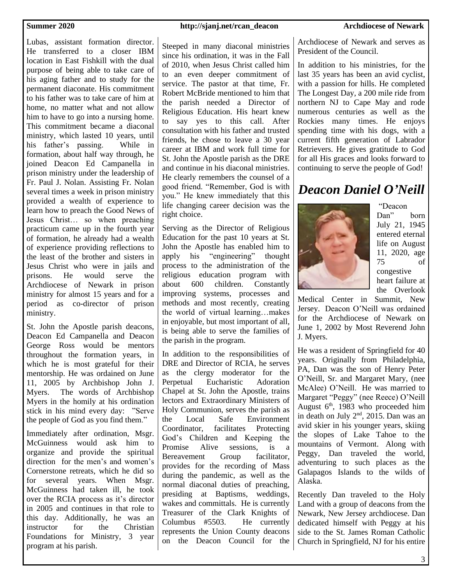Lubas, assistant formation director. He transferred to a closer IBM location in East Fishkill with the dual purpose of being able to take care of his aging father and to study for the permanent diaconate. His commitment to his father was to take care of him at home, no matter what and not allow him to have to go into a nursing home. This commitment became a diaconal ministry, which lasted 10 years, until his father's passing. While in formation, about half way through, he joined Deacon Ed Campanella in prison ministry under the leadership of Fr. Paul J. Nolan. Assisting Fr. Nolan several times a week in prison ministry provided a wealth of experience to learn how to preach the Good News of Jesus Christ… so when preaching practicum came up in the fourth year of formation, he already had a wealth of experience providing reflections to the least of the brother and sisters in Jesus Christ who were in jails and prisons. He would serve the Archdiocese of Newark in prison ministry for almost 15 years and for a period as co-director of prison ministry.

St. John the Apostle parish deacons, Deacon Ed Campanella and Deacon George Ross would be mentors throughout the formation years, in which he is most grateful for their mentorship. He was ordained on June 11, 2005 by Archbishop John J. Myers. The words of Archbishop Myers in the homily at his ordination stick in his mind every day: "Serve the people of God as you find them."

Immediately after ordination, Msgr. McGuinness would ask him to organize and provide the spiritual direction for the men's and women's Cornerstone retreats, which he did so for several years. When Msgr. McGuinness had taken ill, he took over the RCIA process as it's director in 2005 and continues in that role to this day. Additionally, he was an instructor for the Christian Foundations for Ministry, 3 year program at his parish.

### **Summer 2020 http://sjanj.net/rcan\_deacon Archdiocese of Newark**

Steeped in many diaconal ministries since his ordination, it was in the Fall of 2010, when Jesus Christ called him to an even deeper commitment of service. The pastor at that time, Fr. Robert McBride mentioned to him that the parish needed a Director of Religious Education. His heart knew to say yes to this call. After consultation with his father and trusted friends, he chose to leave a 30 year career at IBM and work full time for St. John the Apostle parish as the DRE and continue in his diaconal ministries. He clearly remembers the counsel of a good friend. "Remember, God is with you." He knew immediately that this life changing career decision was the right choice.

Serving as the Director of Religious Education for the past 10 years at St. John the Apostle has enabled him to apply his "engineering" thought process to the administration of the religious education program with about 600 children. Constantly improving systems, processes and methods and most recently, creating the world of virtual learning…makes in enjoyable, but most important of all, is being able to serve the families of the parish in the program.

In addition to the responsibilities of DRE and Director of RCIA, he serves as the clergy moderator for the Perpetual Eucharistic Adoration Chapel at St. John the Apostle, trains lectors and Extraordinary Ministers of Holy Communion, serves the parish as the Local Safe Environment Coordinator, facilitates Protecting God's Children and Keeping the Promise Alive sessions, is a Bereavement Group facilitator, provides for the recording of Mass during the pandemic, as well as the normal diaconal duties of preaching, presiding at Baptisms, weddings, wakes and committals. He is currently Treasurer of the Clark Knights of Columbus #5503. He currently represents the Union County deacons on the Deacon Council for the

Archdiocese of Newark and serves as President of the Council.

In addition to his ministries, for the last 35 years has been an avid cyclist, with a passion for hills. He completed The Longest Day, a 200 mile ride from northern NJ to Cape May and rode numerous centuries as well as the Rockies many times. He enjoys spending time with his dogs, with a current fifth generation of Labrador Retrievers. He gives gratitude to God for all His graces and looks forward to continuing to serve the people of God!

## *Deacon Daniel O'Neill*



"Deacon Dan" born July 21, 1945 entered eternal life on August 11, 2020, age 75 of congestive heart failure at the Overlook

Medical Center in Summit, New Jersey. Deacon O'Neill was ordained for the Archdiocese of Newark on June 1, 2002 by Most Reverend John J. Myers.

He was a resident of Springfield for 40 years. Originally from Philadelphia, PA, Dan was the son of Henry Peter O'Neill, Sr. and Margaret Mary, (nee McAlee) O'Neill. He was married to Margaret "Peggy" (nee Reece) O'Neill August  $6<sup>th</sup>$ , 1983 who proceeded him in death on July 2nd, 2015. Dan was an avid skier in his younger years, skiing the slopes of Lake Tahoe to the mountains of Vermont. Along with Peggy, Dan traveled the world, adventuring to such places as the Galapagos Islands to the wilds of Alaska.

Recently Dan traveled to the Holy Land with a group of deacons from the Newark, New Jersey archdiocese. Dan dedicated himself with Peggy at his side to the St. James Roman Catholic Church in Springfield, NJ for his entire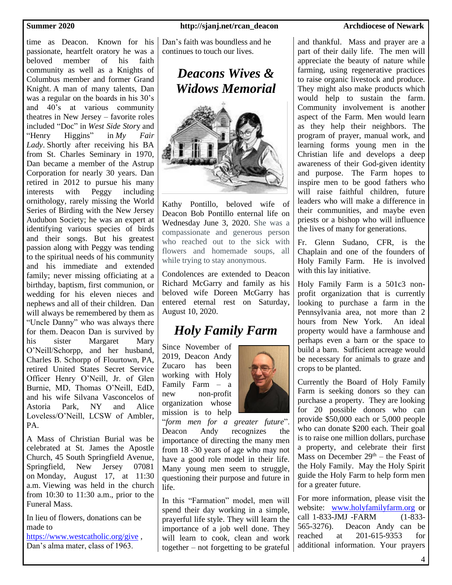time as Deacon. Known for his passionate, heartfelt oratory he was a beloved member of his faith community as well as a Knights of Columbus member and former Grand Knight. A man of many talents, Dan was a regular on the boards in his 30's and 40's at various community theatres in New Jersey – favorite roles included "Doc" in *West Side Stor*y and "Henry Higgins" in *My Fair Lady*. Shortly after receiving his BA from St. Charles Seminary in 1970, Dan became a member of the Astrup Corporation for nearly 30 years. Dan retired in 2012 to pursue his many interests with Peggy including ornithology, rarely missing the World Series of Birding with the New Jersey Audubon Society; he was an expert at identifying various species of birds and their songs. But his greatest passion along with Peggy was tending to the spiritual needs of his community and his immediate and extended family; never missing officiating at a birthday, baptism, first communion, or wedding for his eleven nieces and nephews and all of their children. Dan will always be remembered by them as "Uncle Danny" who was always there for them. Deacon Dan is survived by his sister Margaret Mary O'Neill/Schorpp, and her husband, Charles B. Schorpp of Flourtown, PA, retired United States Secret Service Officer Henry O'Neill, Jr. of Glen Burnie, MD, Thomas O'Neill, EdD, and his wife Silvana Vasconcelos of Astoria Park, NY and Alice Loveless/O'Neill, LCSW of Ambler, PA.

A Mass of Christian Burial was be celebrated at St. James the Apostle Church, 45 South Springfield Avenue, Springfield, New Jersey 07081 on Monday, August 17, at 11:30 a.m. Viewing was held in the church from 10:30 to 11:30 a.m., prior to the Funeral Mass.

In lieu of flowers, donations can be made to

<https://www.westcatholic.org/give> , Dan's alma mater, class of 1963.

### **Summer 2020 http://sjanj.net/rcan\_deacon Archdiocese of Newark**

Dan's faith was boundless and he continues to touch our lives.

## *Deacons Wives & Widows Memorial*



Kathy Pontillo, beloved wife of Deacon Bob Pontillo enternal life on Wednesday June 3, 2020. She was a compassionate and generous person who reached out to the sick with flowers and homemade soups, all while trying to stay anonymous.

Condolences are extended to Deacon Richard McGarry and family as his beloved wife Doreen McGarry has entered eternal rest on Saturday, August 10, 2020.

## *Holy Family Farm*

Since November of 2019, Deacon Andy Zucaro has been working with Holy Family Farm – a new non-profit organization whose mission is to help



"*form men for a greater future*". Deacon Andy recognizes the importance of directing the many men from 18 -30 years of age who may not have a good role model in their life. Many young men seem to struggle, questioning their purpose and future in life.

In this "Farmation" model, men will spend their day working in a simple, prayerful life style. They will learn the importance of a job well done. They will learn to cook, clean and work together – not forgetting to be grateful

and thankful. Mass and prayer are a part of their daily life. The men will appreciate the beauty of nature while farming, using regenerative practices to raise organic livestock and produce. They might also make products which would help to sustain the farm. Community involvement is another aspect of the Farm. Men would learn as they help their neighbors. The program of prayer, manual work, and learning forms young men in the Christian life and develops a deep awareness of their God-given identity and purpose. The Farm hopes to inspire men to be good fathers who will raise faithful children, future leaders who will make a difference in their communities, and maybe even priests or a bishop who will influence the lives of many for generations.

Fr. Glenn Sudano, CFR, is the Chaplain and one of the founders of Holy Family Farm. He is involved with this lay initiative.

Holy Family Farm is a 501c3 nonprofit organization that is currently looking to purchase a farm in the Pennsylvania area, not more than 2 hours from New York. An ideal property would have a farmhouse and perhaps even a barn or the space to build a barn. Sufficient acreage would be necessary for animals to graze and crops to be planted.

Currently the Board of Holy Family Farm is seeking donors so they can purchase a property. They are looking for 20 possible donors who can provide \$50,000 each or 5,000 people who can donate \$200 each. Their goal is to raise one million dollars, purchase a property, and celebrate their first Mass on December  $29<sup>th</sup>$  – the Feast of the Holy Family. May the Holy Spirit guide the Holy Farm to help form men for a greater future.

For more information, please visit the website: [www.holyfamilyfarm.org](http://www.holyfamilyfarm.org/) or call 1-833-JMJ -FARM (1-833- 565-3276). Deacon Andy can be reached at 201-615-9353 for additional information. Your prayers